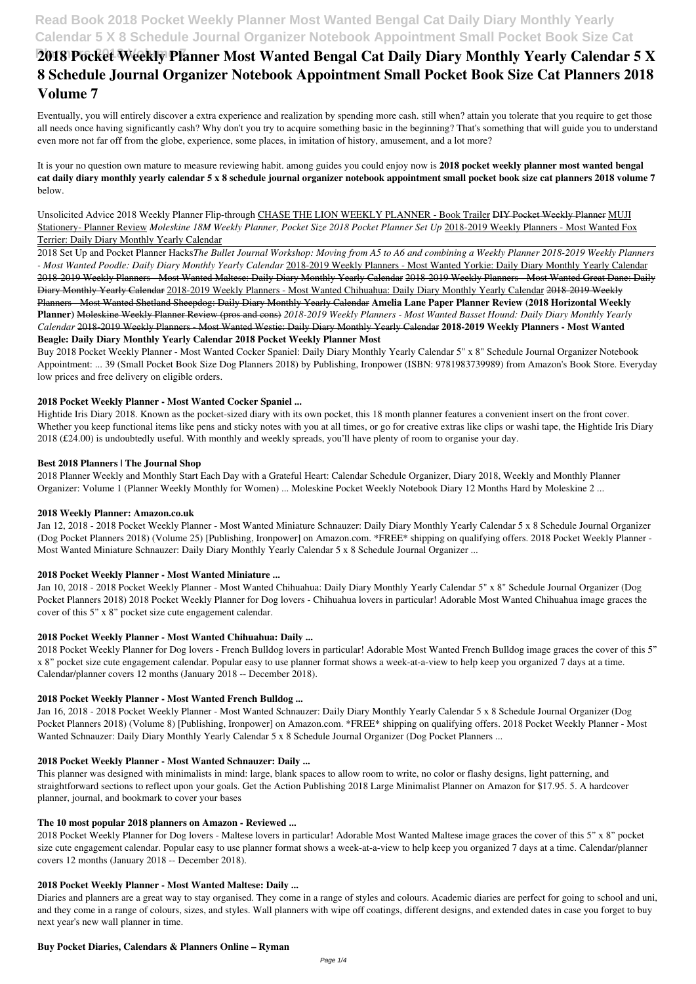# **Read Book 2018 Pocket Weekly Planner Most Wanted Bengal Cat Daily Diary Monthly Yearly Calendar 5 X 8 Schedule Journal Organizer Notebook Appointment Small Pocket Book Size Cat**

# **2018 Pocket Weekly Planner Most Wanted Bengal Cat Daily Diary Monthly Yearly Calendar 5 X 8 Schedule Journal Organizer Notebook Appointment Small Pocket Book Size Cat Planners 2018 Volume 7**

Eventually, you will entirely discover a extra experience and realization by spending more cash. still when? attain you tolerate that you require to get those all needs once having significantly cash? Why don't you try to acquire something basic in the beginning? That's something that will guide you to understand even more not far off from the globe, experience, some places, in imitation of history, amusement, and a lot more?

Unsolicited Advice 2018 Weekly Planner Flip-through CHASE THE LION WEEKLY PLANNER - Book Trailer DIY Pocket Weekly Planner MUJI Stationery- Planner Review *Moleskine 18M Weekly Planner, Pocket Size 2018 Pocket Planner Set Up* 2018-2019 Weekly Planners - Most Wanted Fox Terrier: Daily Diary Monthly Yearly Calendar

It is your no question own mature to measure reviewing habit. among guides you could enjoy now is **2018 pocket weekly planner most wanted bengal cat daily diary monthly yearly calendar 5 x 8 schedule journal organizer notebook appointment small pocket book size cat planners 2018 volume 7** below.

2018 Set Up and Pocket Planner Hacks*The Bullet Journal Workshop: Moving from A5 to A6 and combining a Weekly Planner 2018-2019 Weekly Planners - Most Wanted Poodle: Daily Diary Monthly Yearly Calendar* 2018-2019 Weekly Planners - Most Wanted Yorkie: Daily Diary Monthly Yearly Calendar 2018-2019 Weekly Planners - Most Wanted Maltese: Daily Diary Monthly Yearly Calendar 2018-2019 Weekly Planners - Most Wanted Great Dane: Daily Diary Monthly Yearly Calendar 2018-2019 Weekly Planners - Most Wanted Chihuahua: Daily Diary Monthly Yearly Calendar 2018-2019 Weekly Planners - Most Wanted Shetland Sheepdog: Daily Diary Monthly Yearly Calendar **Amelia Lane Paper Planner Review (2018 Horizontal Weekly Planner)** Moleskine Weekly Planner Review (pros and cons) *2018-2019 Weekly Planners - Most Wanted Basset Hound: Daily Diary Monthly Yearly Calendar* 2018-2019 Weekly Planners - Most Wanted Westie: Daily Diary Monthly Yearly Calendar **2018-2019 Weekly Planners - Most Wanted Beagle: Daily Diary Monthly Yearly Calendar 2018 Pocket Weekly Planner Most**

Jan 16, 2018 - 2018 Pocket Weekly Planner - Most Wanted Schnauzer: Daily Diary Monthly Yearly Calendar 5 x 8 Schedule Journal Organizer (Dog Pocket Planners 2018) (Volume 8) [Publishing, Ironpower] on Amazon.com. \*FREE\* shipping on qualifying offers. 2018 Pocket Weekly Planner - Most Wanted Schnauzer: Daily Diary Monthly Yearly Calendar 5 x 8 Schedule Journal Organizer (Dog Pocket Planners ...

Buy 2018 Pocket Weekly Planner - Most Wanted Cocker Spaniel: Daily Diary Monthly Yearly Calendar 5" x 8" Schedule Journal Organizer Notebook Appointment: ... 39 (Small Pocket Book Size Dog Planners 2018) by Publishing, Ironpower (ISBN: 9781983739989) from Amazon's Book Store. Everyday low prices and free delivery on eligible orders.

## **2018 Pocket Weekly Planner - Most Wanted Cocker Spaniel ...**

Hightide Iris Diary 2018. Known as the pocket-sized diary with its own pocket, this 18 month planner features a convenient insert on the front cover. Whether you keep functional items like pens and sticky notes with you at all times, or go for creative extras like clips or washi tape, the Hightide Iris Diary 2018 (£24.00) is undoubtedly useful. With monthly and weekly spreads, you'll have plenty of room to organise your day.

### **Best 2018 Planners | The Journal Shop**

2018 Planner Weekly and Monthly Start Each Day with a Grateful Heart: Calendar Schedule Organizer, Diary 2018, Weekly and Monthly Planner Organizer: Volume 1 (Planner Weekly Monthly for Women) ... Moleskine Pocket Weekly Notebook Diary 12 Months Hard by Moleskine 2 ...

### **2018 Weekly Planner: Amazon.co.uk**

Jan 12, 2018 - 2018 Pocket Weekly Planner - Most Wanted Miniature Schnauzer: Daily Diary Monthly Yearly Calendar 5 x 8 Schedule Journal Organizer (Dog Pocket Planners 2018) (Volume 25) [Publishing, Ironpower] on Amazon.com. \*FREE\* shipping on qualifying offers. 2018 Pocket Weekly Planner - Most Wanted Miniature Schnauzer: Daily Diary Monthly Yearly Calendar 5 x 8 Schedule Journal Organizer ...

## **2018 Pocket Weekly Planner - Most Wanted Miniature ...**

Jan 10, 2018 - 2018 Pocket Weekly Planner - Most Wanted Chihuahua: Daily Diary Monthly Yearly Calendar 5" x 8" Schedule Journal Organizer (Dog Pocket Planners 2018) 2018 Pocket Weekly Planner for Dog lovers - Chihuahua lovers in particular! Adorable Most Wanted Chihuahua image graces the cover of this 5" x 8" pocket size cute engagement calendar.

## **2018 Pocket Weekly Planner - Most Wanted Chihuahua: Daily ...**

2018 Pocket Weekly Planner for Dog lovers - French Bulldog lovers in particular! Adorable Most Wanted French Bulldog image graces the cover of this 5" x 8" pocket size cute engagement calendar. Popular easy to use planner format shows a week-at-a-view to help keep you organized 7 days at a time. Calendar/planner covers 12 months (January 2018 -- December 2018).

### **2018 Pocket Weekly Planner - Most Wanted French Bulldog ...**

### **2018 Pocket Weekly Planner - Most Wanted Schnauzer: Daily ...**

This planner was designed with minimalists in mind: large, blank spaces to allow room to write, no color or flashy designs, light patterning, and straightforward sections to reflect upon your goals. Get the Action Publishing 2018 Large Minimalist Planner on Amazon for \$17.95. 5. A hardcover planner, journal, and bookmark to cover your bases

#### **The 10 most popular 2018 planners on Amazon - Reviewed ...**

2018 Pocket Weekly Planner for Dog lovers - Maltese lovers in particular! Adorable Most Wanted Maltese image graces the cover of this 5" x 8" pocket size cute engagement calendar. Popular easy to use planner format shows a week-at-a-view to help keep you organized 7 days at a time. Calendar/planner covers 12 months (January 2018 -- December 2018).

### **2018 Pocket Weekly Planner - Most Wanted Maltese: Daily ...**

Diaries and planners are a great way to stay organised. They come in a range of styles and colours. Academic diaries are perfect for going to school and uni, and they come in a range of colours, sizes, and styles. Wall planners with wipe off coatings, different designs, and extended dates in case you forget to buy next year's new wall planner in time.

### **Buy Pocket Diaries, Calendars & Planners Online – Ryman**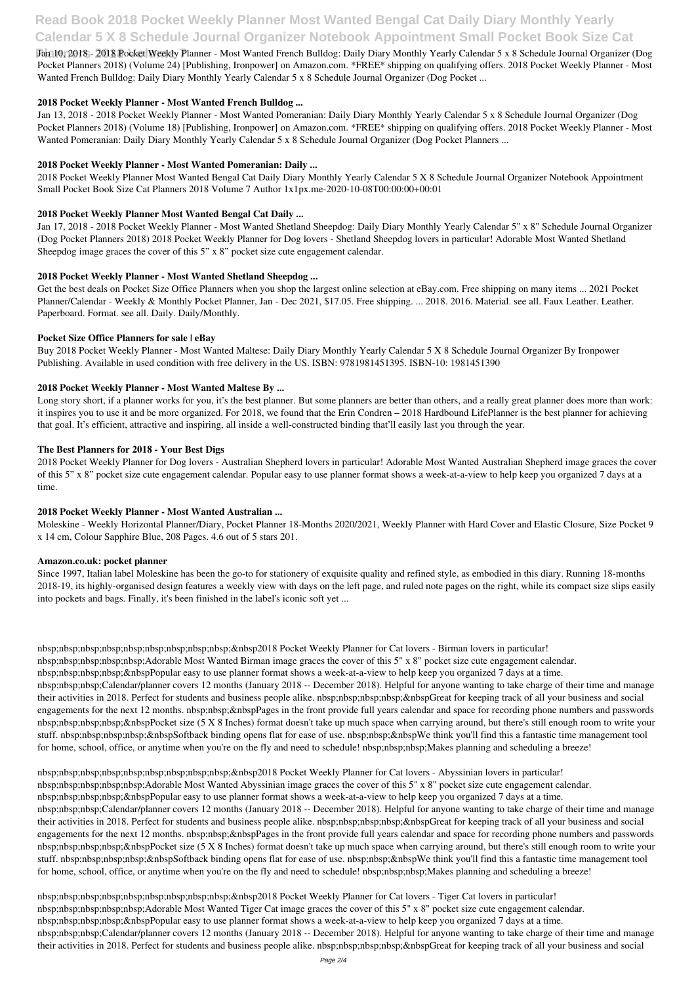# **Read Book 2018 Pocket Weekly Planner Most Wanted Bengal Cat Daily Diary Monthly Yearly Calendar 5 X 8 Schedule Journal Organizer Notebook Appointment Small Pocket Book Size Cat**

Jan 10, 2018 - 2018 Pocket Weekly Planner - Most Wanted French Bulldog: Daily Diary Monthly Yearly Calendar 5 x 8 Schedule Journal Organizer (Dog Pocket Planners 2018) (Volume 24) [Publishing, Ironpower] on Amazon.com. \*FREE\* shipping on qualifying offers. 2018 Pocket Weekly Planner - Most Wanted French Bulldog: Daily Diary Monthly Yearly Calendar 5 x 8 Schedule Journal Organizer (Dog Pocket ...

Jan 13, 2018 - 2018 Pocket Weekly Planner - Most Wanted Pomeranian: Daily Diary Monthly Yearly Calendar 5 x 8 Schedule Journal Organizer (Dog Pocket Planners 2018) (Volume 18) [Publishing, Ironpower] on Amazon.com. \*FREE\* shipping on qualifying offers. 2018 Pocket Weekly Planner - Most Wanted Pomeranian: Daily Diary Monthly Yearly Calendar 5 x 8 Schedule Journal Organizer (Dog Pocket Planners ...

### **2018 Pocket Weekly Planner - Most Wanted French Bulldog ...**

### **2018 Pocket Weekly Planner - Most Wanted Pomeranian: Daily ...**

2018 Pocket Weekly Planner Most Wanted Bengal Cat Daily Diary Monthly Yearly Calendar 5 X 8 Schedule Journal Organizer Notebook Appointment Small Pocket Book Size Cat Planners 2018 Volume 7 Author 1x1px.me-2020-10-08T00:00:00+00:01

### **2018 Pocket Weekly Planner Most Wanted Bengal Cat Daily ...**

Long story short, if a planner works for you, it's the best planner. But some planners are better than others, and a really great planner does more than work: it inspires you to use it and be more organized. For 2018, we found that the Erin Condren – 2018 Hardbound LifePlanner is the best planner for achieving that goal. It's efficient, attractive and inspiring, all inside a well-constructed binding that'll easily last you through the year.

Jan 17, 2018 - 2018 Pocket Weekly Planner - Most Wanted Shetland Sheepdog: Daily Diary Monthly Yearly Calendar 5" x 8" Schedule Journal Organizer (Dog Pocket Planners 2018) 2018 Pocket Weekly Planner for Dog lovers - Shetland Sheepdog lovers in particular! Adorable Most Wanted Shetland Sheepdog image graces the cover of this 5" x 8" pocket size cute engagement calendar.

### **2018 Pocket Weekly Planner - Most Wanted Shetland Sheepdog ...**

nbsp;nbsp;nbsp;nbsp;nbsp;nbsp;nbsp;nbsp;nbsp;&nbsp2018 Pocket Weekly Planner for Cat lovers - Birman lovers in particular! nbsp;nbsp;nbsp;nbsp;nbsp;Adorable Most Wanted Birman image graces the cover of this 5" x 8" pocket size cute engagement calendar. nbsp;nbsp;nbsp;bsp;&nbspPopular easy to use planner format shows a week-at-a-view to help keep you organized 7 days at a time. nbsp;nbsp;nbsp;Calendar/planner covers 12 months (January 2018 -- December 2018). Helpful for anyone wanting to take charge of their time and manage their activities in 2018. Perfect for students and business people alike. nbsp;nbsp;nbsp;nbsp;&nbspGreat for keeping track of all your business and social engagements for the next 12 months. nbsp;nbsp;&nbspPages in the front provide full years calendar and space for recording phone numbers and passwords nbsp;nbsp;nbsp;nbsp;&nbspPocket size (5 X 8 Inches) format doesn't take up much space when carrying around, but there's still enough room to write your stuff. nbsp;nbsp;nbsp; $\alpha$ nbsp; $\alpha$ nbspSoftback binding opens flat for ease of use. nbsp;nbsp; $\alpha$ nbspWe think you'll find this a fantastic time management tool

Get the best deals on Pocket Size Office Planners when you shop the largest online selection at eBay.com. Free shipping on many items ... 2021 Pocket Planner/Calendar - Weekly & Monthly Pocket Planner, Jan - Dec 2021, \$17.05. Free shipping. ... 2018. 2016. Material. see all. Faux Leather. Leather. Paperboard. Format. see all. Daily. Daily/Monthly.

### **Pocket Size Office Planners for sale | eBay**

Buy 2018 Pocket Weekly Planner - Most Wanted Maltese: Daily Diary Monthly Yearly Calendar 5 X 8 Schedule Journal Organizer By Ironpower Publishing. Available in used condition with free delivery in the US. ISBN: 9781981451395. ISBN-10: 1981451390

## **2018 Pocket Weekly Planner - Most Wanted Maltese By ...**

nbsp;nbsp;nbsp;nbsp;nbsp;nbsp;nbsp;nbsp;nbsp;&nbsp2018 Pocket Weekly Planner for Cat lovers - Abyssinian lovers in particular! nbsp;nbsp;nbsp;nbsp;nbsp;Adorable Most Wanted Abyssinian image graces the cover of this 5" x 8" pocket size cute engagement calendar. nbsp;nbsp;nbsp;nbsp;&nbspPopular easy to use planner format shows a week-at-a-view to help keep you organized 7 days at a time. nbsp;nbsp;nbsp;Calendar/planner covers 12 months (January 2018 -- December 2018). Helpful for anyone wanting to take charge of their time and manage their activities in 2018. Perfect for students and business people alike. nbsp;nbsp;nbsp;nbsp;&nbspGreat for keeping track of all your business and social engagements for the next 12 months. nbsp;nbsp;&nbspPages in the front provide full years calendar and space for recording phone numbers and passwords nbsp;nbsp;nbsp;bsp;&nbspPocket size (5 X 8 Inches) format doesn't take up much space when carrying around, but there's still enough room to write your stuff. nbsp;nbsp;nbsp;bsp;&nbspSoftback binding opens flat for ease of use. nbsp;nbsp;&nbspWe think you'll find this a fantastic time management tool for home, school, office, or anytime when you're on the fly and need to schedule! nbsp;nbsp;nbsp;Makes planning and scheduling a breeze!

### **The Best Planners for 2018 - Your Best Digs**

2018 Pocket Weekly Planner for Dog lovers - Australian Shepherd lovers in particular! Adorable Most Wanted Australian Shepherd image graces the cover of this 5" x 8" pocket size cute engagement calendar. Popular easy to use planner format shows a week-at-a-view to help keep you organized 7 days at a time.

### **2018 Pocket Weekly Planner - Most Wanted Australian ...**

Moleskine - Weekly Horizontal Planner/Diary, Pocket Planner 18-Months 2020/2021, Weekly Planner with Hard Cover and Elastic Closure, Size Pocket 9 x 14 cm, Colour Sapphire Blue, 208 Pages. 4.6 out of 5 stars 201.

### **Amazon.co.uk: pocket planner**

Since 1997, Italian label Moleskine has been the go-to for stationery of exquisite quality and refined style, as embodied in this diary. Running 18-months 2018-19, its highly-organised design features a weekly view with days on the left page, and ruled note pages on the right, while its compact size slips easily into pockets and bags. Finally, it's been finished in the label's iconic soft yet ...

for home, school, office, or anytime when you're on the fly and need to schedule! nbsp;nbsp;nbsp;Makes planning and scheduling a breeze!

nbsp;nbsp;nbsp;nbsp;nbsp;nbsp;nbsp;nbsp;nbsp;&nbsp2018 Pocket Weekly Planner for Cat lovers - Tiger Cat lovers in particular! nbsp;nbsp;nbsp;nbsp;nbsp;Adorable Most Wanted Tiger Cat image graces the cover of this 5" x 8" pocket size cute engagement calendar. nbsp;nbsp;nbsp;bsp;&nbspPopular easy to use planner format shows a week-at-a-view to help keep you organized 7 days at a time. nbsp;nbsp;nbsp;Calendar/planner covers 12 months (January 2018 -- December 2018). Helpful for anyone wanting to take charge of their time and manage their activities in 2018. Perfect for students and business people alike. nbsp;nbsp;nbsp;nbsp;&nbspGreat for keeping track of all your business and social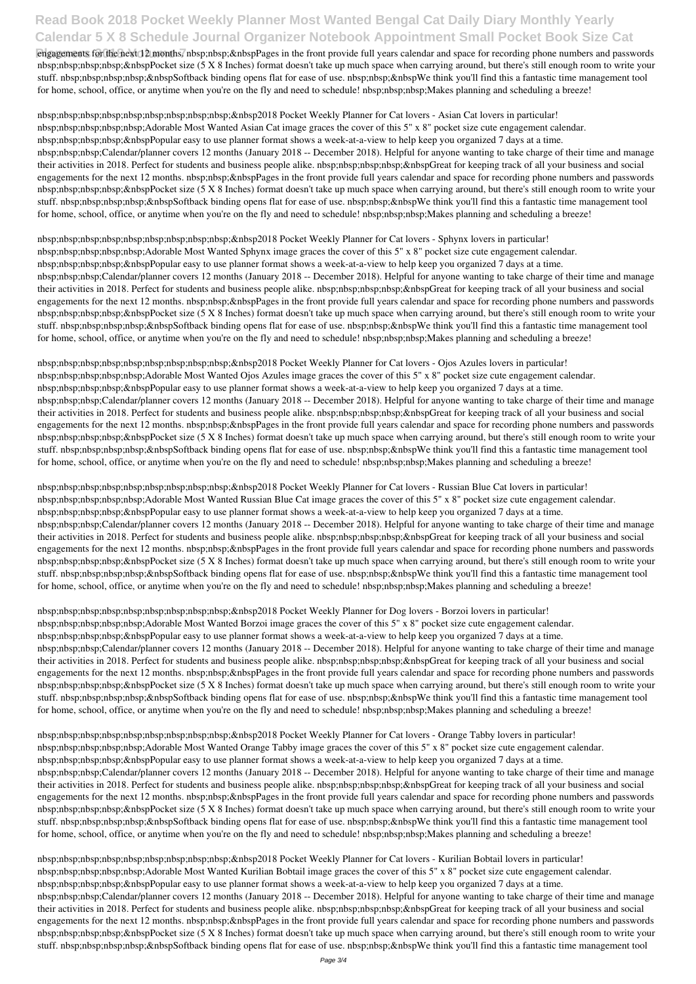# **Read Book 2018 Pocket Weekly Planner Most Wanted Bengal Cat Daily Diary Monthly Yearly Calendar 5 X 8 Schedule Journal Organizer Notebook Appointment Small Pocket Book Size Cat**

engagements for the next 12 months. nbsp;nbsp;&nbspPages in the front provide full years calendar and space for recording phone numbers and passwords nbsp;nbsp;nbsp; $\&$ nbsp} $\&$ ocket size (5 X 8 Inches) format doesn't take up much space when carrying around, but there's still enough room to write your stuff. nbsp;nbsp;nbsp; $\&$ nbsp; $\&$ nbspSoftback binding opens flat for ease of use. nbsp;nbsp; $\&$ nbspWe think you'll find this a fantastic time management tool for home, school, office, or anytime when you're on the fly and need to schedule! nbsp;nbsp;nbsp;Makes planning and scheduling a breeze!

nbsp;nbsp;nbsp;nbsp;nbsp;nbsp;nbsp;nbsp;nbsp;&nbsp2018 Pocket Weekly Planner for Cat lovers - Asian Cat lovers in particular! nbsp;nbsp;nbsp;nbsp;nbsp;Adorable Most Wanted Asian Cat image graces the cover of this 5" x 8" pocket size cute engagement calendar. nbsp;nbsp;nbsp; $\&$ nbsp; $\&$ nbspPopular easy to use planner format shows a week-at-a-view to help keep you organized 7 days at a time. nbsp;nbsp;nbsp;Calendar/planner covers 12 months (January 2018 -- December 2018). Helpful for anyone wanting to take charge of their time and manage their activities in 2018. Perfect for students and business people alike. nbsp;nbsp;nbsp;nbsp;&nbspGreat for keeping track of all your business and social engagements for the next 12 months. nbsp;nbsp;&nbspPages in the front provide full years calendar and space for recording phone numbers and passwords nbsp;nbsp;nbsp;nbsp;&nbspPocket size (5 X 8 Inches) format doesn't take up much space when carrying around, but there's still enough room to write your stuff. nbsp;nbsp;nbsp; $\&$ nbsp; $\&$ nbspSoftback binding opens flat for ease of use. nbsp;nbsp; $\&$ nbspWe think you'll find this a fantastic time management tool for home, school, office, or anytime when you're on the fly and need to schedule! nbsp;nbsp;nbsp;Makes planning and scheduling a breeze!

nbsp;nbsp;nbsp;nbsp;nbsp;nbsp;nbsp;nbsp;nbsp;&nbsp2018 Pocket Weekly Planner for Cat lovers - Sphynx lovers in particular! nbsp;nbsp;nbsp;nbsp;nbsp;Adorable Most Wanted Sphynx image graces the cover of this 5" x 8" pocket size cute engagement calendar. nbsp;nbsp;nbsp; $\&$ nbsp; $\&$ nbspPopular easy to use planner format shows a week-at-a-view to help keep you organized 7 days at a time. nbsp;nbsp;nbsp;Calendar/planner covers 12 months (January 2018 -- December 2018). Helpful for anyone wanting to take charge of their time and manage their activities in 2018. Perfect for students and business people alike. nbsp;nbsp;nbsp;nbsp;&nbspGreat for keeping track of all your business and social engagements for the next 12 months. nbsp;nbsp;&nbspPages in the front provide full years calendar and space for recording phone numbers and passwords nbsp;nbsp;nbsp; $\&$ nbsp} $\&$ ocket size (5 X 8 Inches) format doesn't take up much space when carrying around, but there's still enough room to write your stuff. nbsp;nbsp;nbsp; &nbspSoftback binding opens flat for ease of use. nbsp;nbsp;&nbspWe think you'll find this a fantastic time management tool for home, school, office, or anytime when you're on the fly and need to schedule! nbsp;nbsp;nbsp;Makes planning and scheduling a breeze!

nbsp;nbsp;nbsp;nbsp;nbsp;nbsp;nbsp;nbsp;nbsp;&nbsp2018 Pocket Weekly Planner for Cat lovers - Ojos Azules lovers in particular! nbsp;nbsp;nbsp;nbsp;nbsp;Adorable Most Wanted Ojos Azules image graces the cover of this 5" x 8" pocket size cute engagement calendar. nbsp;nbsp;nbsp; $\&$ nbsp; $\&$ nbspPopular easy to use planner format shows a week-at-a-view to help keep you organized 7 days at a time. nbsp;nbsp;nbsp;Calendar/planner covers 12 months (January 2018 -- December 2018). Helpful for anyone wanting to take charge of their time and manage their activities in 2018. Perfect for students and business people alike. nbsp;nbsp;nbsp;nbsp;&nbspGreat for keeping track of all your business and social engagements for the next 12 months, nbsp;nbsp;&nbspPages in the front provide full years calendar and space for recording phone numbers and passwords nbsp;nbsp;nbsp;nbsp;&nbspPocket size (5 X 8 Inches) format doesn't take up much space when carrying around, but there's still enough room to write your stuff. nbsp;nbsp;nbsp; $\&$ nbsp; $\&$ nbspSoftback binding opens flat for ease of use. nbsp;nbsp; $\&$ nbspWe think you'll find this a fantastic time management tool for home, school, office, or anytime when you're on the fly and need to schedule! nbsp;nbsp;nbsp;Makes planning and scheduling a breeze!

nbsp;nbsp;nbsp;nbsp;nbsp;nbsp;nbsp;nbsp;nbsp;&nbsp2018 Pocket Weekly Planner for Cat lovers - Kurilian Bobtail lovers in particular! nbsp;nbsp;nbsp;nbsp;nbsp;Adorable Most Wanted Kurilian Bobtail image graces the cover of this 5" x 8" pocket size cute engagement calendar. nbsp;nbsp;nbsp;bsp;&nbspPopular easy to use planner format shows a week-at-a-view to help keep you organized 7 days at a time. nbsp;nbsp;nbsp;Calendar/planner covers 12 months (January 2018 -- December 2018). Helpful for anyone wanting to take charge of their time and manage their activities in 2018. Perfect for students and business people alike. nbsp;nbsp;nbsp;nbsp;&nbspGreat for keeping track of all your business and social engagements for the next 12 months. nbsp;nbsp;&nbspPages in the front provide full years calendar and space for recording phone numbers and passwords nbsp;nbsp;nbsp;bsp;&nbspPocket size (5 X 8 Inches) format doesn't take up much space when carrying around, but there's still enough room to write your stuff. nbsp;nbsp;nbsp; $\&$ nbsp; $\&$ nbspSoftback binding opens flat for ease of use. nbsp;nbsp; $\&$ nbspWe think you'll find this a fantastic time management tool

nbsp;nbsp;nbsp;nbsp;nbsp;nbsp;nbsp;nbsp;nbsp;&nbsp2018 Pocket Weekly Planner for Cat lovers - Russian Blue Cat lovers in particular! nbsp;nbsp;nbsp;nbsp;nbsp;Adorable Most Wanted Russian Blue Cat image graces the cover of this 5" x 8" pocket size cute engagement calendar. nbsp;nbsp;nbsp;nbsp;&nbspPopular easy to use planner format shows a week-at-a-view to help keep you organized 7 days at a time. nbsp;nbsp;nbsp;Calendar/planner covers 12 months (January 2018 -- December 2018). Helpful for anyone wanting to take charge of their time and manage their activities in 2018. Perfect for students and business people alike. nbsp;nbsp;nbsp;nbsp;&nbspGreat for keeping track of all your business and social engagements for the next 12 months. nbsp;nbsp;&nbspPages in the front provide full years calendar and space for recording phone numbers and passwords nbsp;nbsp;nbsp; $\&$ nbsp} $\&$ ocket size (5 X 8 Inches) format doesn't take up much space when carrying around, but there's still enough room to write your stuff. nbsp;nbsp;nbsp; $\&$ nbsp; $\&$ nbspSoftback binding opens flat for ease of use. nbsp;nbsp; $\&$ nbspWe think you'll find this a fantastic time management tool for home, school, office, or anytime when you're on the fly and need to schedule! nbsp;nbsp;nbsp;Makes planning and scheduling a breeze!

nbsp;nbsp;nbsp;nbsp;nbsp;nbsp;nbsp;nbsp;nbsp;&nbsp2018 Pocket Weekly Planner for Dog lovers - Borzoi lovers in particular! nbsp;nbsp;nbsp;nbsp;nbsp;Adorable Most Wanted Borzoi image graces the cover of this 5" x 8" pocket size cute engagement calendar. nbsp;nbsp;nbsp; $\&$ nbsp; $\&$ nbspPopular easy to use planner format shows a week-at-a-view to help keep you organized 7 days at a time. nbsp;nbsp;nbsp;Calendar/planner covers 12 months (January 2018 -- December 2018). Helpful for anyone wanting to take charge of their time and manage their activities in 2018. Perfect for students and business people alike. nbsp;nbsp;nbsp;nbsp;&nbspGreat for keeping track of all your business and social engagements for the next 12 months. nbsp;nbsp;&nbspPages in the front provide full years calendar and space for recording phone numbers and passwords nbsp;nbsp;nbsp;nbsp;&nbspPocket size (5 X 8 Inches) format doesn't take up much space when carrying around, but there's still enough room to write your stuff. nbsp;nbsp;nbsp; &nbspSoftback binding opens flat for ease of use. nbsp;nbsp;&nbspWe think you'll find this a fantastic time management tool for home, school, office, or anytime when you're on the fly and need to schedule! nbsp;nbsp;nbsp;Makes planning and scheduling a breeze!

nbsp;nbsp;nbsp;nbsp;nbsp;nbsp;nbsp;nbsp;nbsp;&nbsp2018 Pocket Weekly Planner for Cat lovers - Orange Tabby lovers in particular!

nbsp;nbsp;nbsp;nbsp;nbsp;Adorable Most Wanted Orange Tabby image graces the cover of this 5" x 8" pocket size cute engagement calendar. nbsp;nbsp;nbsp;hbsp;&nbspPopular easy to use planner format shows a week-at-a-view to help keep you organized 7 days at a time. nbsp;nbsp;nbsp;Calendar/planner covers 12 months (January 2018 -- December 2018). Helpful for anyone wanting to take charge of their time and manage their activities in 2018. Perfect for students and business people alike. nbsp;nbsp;nbsp;nbsp;&nbspGreat for keeping track of all your business and social engagements for the next 12 months. nbsp;nbsp;&nbspPages in the front provide full years calendar and space for recording phone numbers and passwords nbsp;nbsp;nbsp;bsp;&nbspPocket size (5 X 8 Inches) format doesn't take up much space when carrying around, but there's still enough room to write your stuff. nbsp;nbsp;nbsp; $\&$ nbsp; $\&$ nbspSoftback binding opens flat for ease of use. nbsp;nbsp; $\&$ nbspWe think you'll find this a fantastic time management tool for home, school, office, or anytime when you're on the fly and need to schedule! nbsp;nbsp;nbsp;Makes planning and scheduling a breeze!